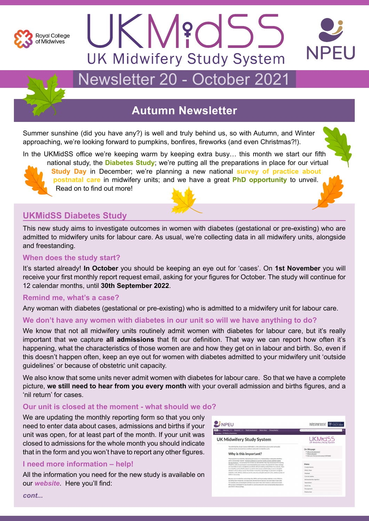



# Newsletter 20 - October 2021

# **Autumn Newsletter**

Summer sunshine (did you have any?) is well and truly behind us, so with Autumn, and Winter approaching, we're looking forward to pumpkins, bonfires, fireworks (and even Christmas?!).

In the UKMidSS office we're keeping warm by keeping extra busy… this month we start our fifth



national study, the **Diabetes Study**; we're putting all the preparations in place for our virtual **Study Day** in December; we're planning a new national **survey of practice about postnatal care** in midwifery units; and we have a great **PhD opportunity** to unveil. Read on to find out more!

# **UKMidSS Diabetes Study**

This new study aims to investigate outcomes in women with diabetes (gestational or pre-existing) who are admitted to midwifery units for labour care. As usual, we're collecting data in all midwifery units, alongside and freestanding.

## **When does the study start?**

It's started already! **In October** you should be keeping an eye out for 'cases'. On **1st November** you will receive your first monthly report request email, asking for your figures for October. The study will continue for 12 calendar months, until **30th September 2022**.

### **Remind me, what's a case?**

Any woman with diabetes (gestational or pre-existing) who is admitted to a midwifery unit for labour care.

### **We don't have any women with diabetes in our unit so will we have anything to do?**

We know that not all midwifery units routinely admit women with diabetes for labour care, but it's really important that we capture **all admissions** that fit our definition. That way we can report how often it's happening, what the characteristics of those women are and how they get on in labour and birth. So, even if this doesn't happen often, keep an eye out for women with diabetes admitted to your midwifery unit 'outside guidelines' or because of obstetric unit capacity.

We also know that some units never admit women with diabetes for labour care. So that we have a complete picture, **we still need to hear from you every month** with your overall admission and births figures, and a 'nil return' for cases.

### **Our unit is closed at the moment - what should we do?**

We are updating the monthly reporting form so that you only need to enter data about cases, admissions and births if your unit was open, for at least part of the month. If your unit was closed to admissions for the whole month you should indicate that in the form and you won't have to report any other figures.

### **I need more information – help!**

All the information you need for the new study is available on our *[website](http://www.npeu.ox.ac.uk/ukmidss/reporters)*. Here you'll find:

| NPEU                                                                                                                                                                                                                                                                                                                                                                                                                                                                                                                                                                                                                                                                                                                                                                                                                | UNIVERSITY OF<br>Nuffield Department of<br>POPULATION HEALTH                                                |
|---------------------------------------------------------------------------------------------------------------------------------------------------------------------------------------------------------------------------------------------------------------------------------------------------------------------------------------------------------------------------------------------------------------------------------------------------------------------------------------------------------------------------------------------------------------------------------------------------------------------------------------------------------------------------------------------------------------------------------------------------------------------------------------------------------------------|-------------------------------------------------------------------------------------------------------------|
| About Us V<br>Research V<br><b>Public Involvement</b><br><b>What's New</b><br><b>Privacy Notice</b><br>You are here: UK Midwifery Study System                                                                                                                                                                                                                                                                                                                                                                                                                                                                                                                                                                                                                                                                      | Search Ie.g. Randomisationi                                                                                 |
| <b>UK Midwifery Study System</b>                                                                                                                                                                                                                                                                                                                                                                                                                                                                                                                                                                                                                                                                                                                                                                                    | UKM <sub>8</sub> d55<br><b>UK Midwifery Study System</b>                                                    |
| The UK Midwifery Study System (UKMidSS) is a UK-wide infrastructure which will enable<br>national studies of uncommon conditions and events in midwifery units.<br>Why is this important?                                                                                                                                                                                                                                                                                                                                                                                                                                                                                                                                                                                                                           | On this page<br>. Why is this important?<br>. What is the aim?<br>. How can't first out more about UKMi/SSP |
| Planning birth in a midwifery-led setting (at home or in a freestanding or alongside midwifery<br>unit) is increasingly popular. National guidance on care for healthy women and their bables<br>during childbirth " recommends that women are advised that they may choose any birth setting.<br>Midwifery units are particularly recommended because women who plan birth in these settings.<br>are more likely to have a straightforward birth without needing medical help from a doctor. Care<br>in a midwifery unit (or birth centre) is as safe for the woman and the baby as care in a hospital<br>obstetric unit (or labour ward). Most births in midwifery-led settings are planned in alongside<br>aniducifiery unlits (AMIEC which are no the same site as bosmital electetric units, and the number of | Menu<br>Contact details<br>What's New<br>Methods                                                            |
| AMUs is increasing.<br>Recause care in midwifery-led settings like AMUs and freestanding midwifery units (FMUs) is<br>becoming more important, we need more information to improve care and make it even tafes.<br>For example, we can investigate and learn from some 'near-miss' events or adverse outcomes.<br>We can also lovestigate if it may be safe for some women with more complicated pregnancies to<br>plan birth in these settings.                                                                                                                                                                                                                                                                                                                                                                    | Corrent studies<br>Information for reporters<br>Newsletters<br>Study Day                                    |

*cont...*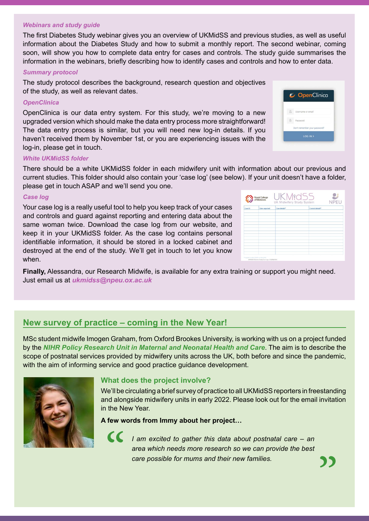#### *Webinars and study guide*

The first Diabetes Study webinar gives you an overview of UKMidSS and previous studies, as well as useful information about the Diabetes Study and how to submit a monthly report. The second webinar, coming soon, will show you how to complete data entry for cases and controls. The study guide summarises the information in the webinars, briefly describing how to identify cases and controls and how to enter data.

#### *Summary protocol*

The study protocol describes the background, research question and objectives of the study, as well as relevant dates.

#### *OpenClinica*

OpenClinica is our data entry system. For this study, we're moving to a new upgraded version which should make the data entry process more straightforward! The data entry process is similar, but you will need new log-in details. If you haven't received them by November 1st, or you are experiencing issues with the log-in, please get in touch.

|          | OpenClinica                   |
|----------|-------------------------------|
| $\Omega$ | Username or email             |
| $\theta$ | Password                      |
|          | Don't remember your password? |
|          | LOG IN >                      |

#### *White UKMidSS folder*

There should be a white UKMidSS folder in each midwifery unit with information about our previous and current studies. This folder should also contain your 'case log' (see below). If your unit doesn't have a folder, please get in touch ASAP and we'll send you one.

#### *Case log*

Your case log is a really useful tool to help you keep track of your cases and controls and guard against reporting and entering data about the same woman twice. Download the case log from our website, and keep it in your UKMidSS folder. As the case log contains personal identifiable information, it should be stored in a locked cabinet and destroyed at the end of the study. We'll get in touch to let you know when.

| NPEU<br><b>UK Midwifery Study System</b> |               |               |                  |  |  |
|------------------------------------------|---------------|---------------|------------------|--|--|
| Case ID                                  | Date reported | Case details* | Control details* |  |  |
|                                          |               |               |                  |  |  |
|                                          |               |               |                  |  |  |
|                                          |               |               |                  |  |  |
|                                          |               |               |                  |  |  |
|                                          |               |               |                  |  |  |
|                                          |               |               |                  |  |  |
|                                          |               |               |                  |  |  |
|                                          |               |               |                  |  |  |

**Finally,** Alessandra, our Research Midwife, is available for any extra training or support you might need. Just email us at *[ukmidss@npeu.ox.ac.uk](mailto:ukmidss%40npeu.ox.ac.uk?subject=)*

# **New survey of practice – coming in the New Year!**

MSc student midwife Imogen Graham, from Oxford Brookes University, is working with us on a project funded by the *[NIHR Policy Research Unit in Maternal and Neonatal Health and Care](mailto:www.npeu.ox.ac.uk/pru-mnhc?subject=)*. The aim is to describe the scope of postnatal services provided by midwifery units across the UK, both before and since the pandemic, with the aim of informing service and good practice guidance development.



### **What does the project involve?**

We'll be circulating a brief survey of practice to all UKMidSS reporters in freestanding and alongside midwifery units in early 2022. Please look out for the email invitation in the New Year.

**A few words from Immy about her project…**



*I am excited to gather this data about postnatal care – an area which needs more research so we can provide the best care possible for mums and their new families.* "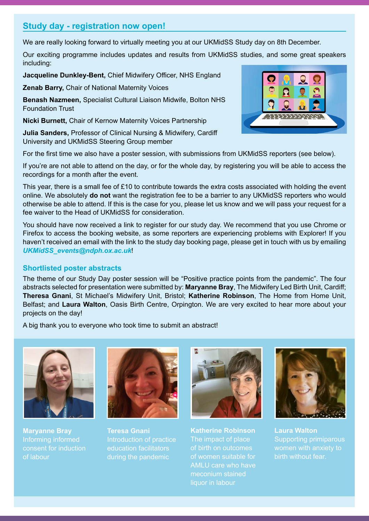# **Study day - registration now open!**

We are really looking forward to virtually meeting you at our UKMidSS Study day on 8th December.

Our exciting programme includes updates and results from UKMidSS studies, and some great speakers including:

**Jacqueline Dunkley-Bent,** Chief Midwifery Officer, NHS England

**Zenab Barry,** Chair of National Maternity Voices

**Benash Nazmeen,** Specialist Cultural Liaison Midwife, Bolton NHS Foundation Trust

**Nicki Burnett,** Chair of Kernow Maternity Voices Partnership

**Julia Sanders,** Professor of Clinical Nursing & Midwifery, Cardiff University and UKMidSS Steering Group member



For the first time we also have a poster session, with submissions from UKMidSS reporters (see below).

If you're are not able to attend on the day, or for the whole day, by registering you will be able to access the recordings for a month after the event.

This year, there is a small fee of £10 to contribute towards the extra costs associated with holding the event online. We absolutely **do not** want the registration fee to be a barrier to any UKMidSS reporters who would otherwise be able to attend. If this is the case for you, please let us know and we will pass your request for a fee waiver to the Head of UKMidSS for consideration.

You should have now received a link to register for our study day. We recommend that you use Chrome or Firefox to access the booking website, as some reporters are experiencing problems with Explorer! If you haven't received an email with the link to the study day booking page, please get in touch with us by emailing *[UKMidSS\\_events@ndph.ox.ac.uk](mailto:UKMidSS_events%40ndph.ox.ac.uk?subject=)*!

### **Shortlisted poster abstracts**

The theme of our Study Day poster session will be "Positive practice points from the pandemic". The four abstracts selected for presentation were submitted by: **Maryanne Bray**, The Midwifery Led Birth Unit, Cardiff; **Theresa Gnani**, St Michael's Midwifery Unit, Bristol; **Katherine Robinson**, The Home from Home Unit, Belfast; and **Laura Walton**, Oasis Birth Centre, Orpington. We are very excited to hear more about your projects on the day!

A big thank you to everyone who took time to submit an abstract!



**Maryanne Bray** of labour



**Teresa Gnani**  Introduction of practice education facilitators during the pandemic



**Katherine Robinson** The impact of place of birth on outcomes of women suitable for AMLU care who have meconium stained liquor in labour



**Laura Walton** Supporting primiparous